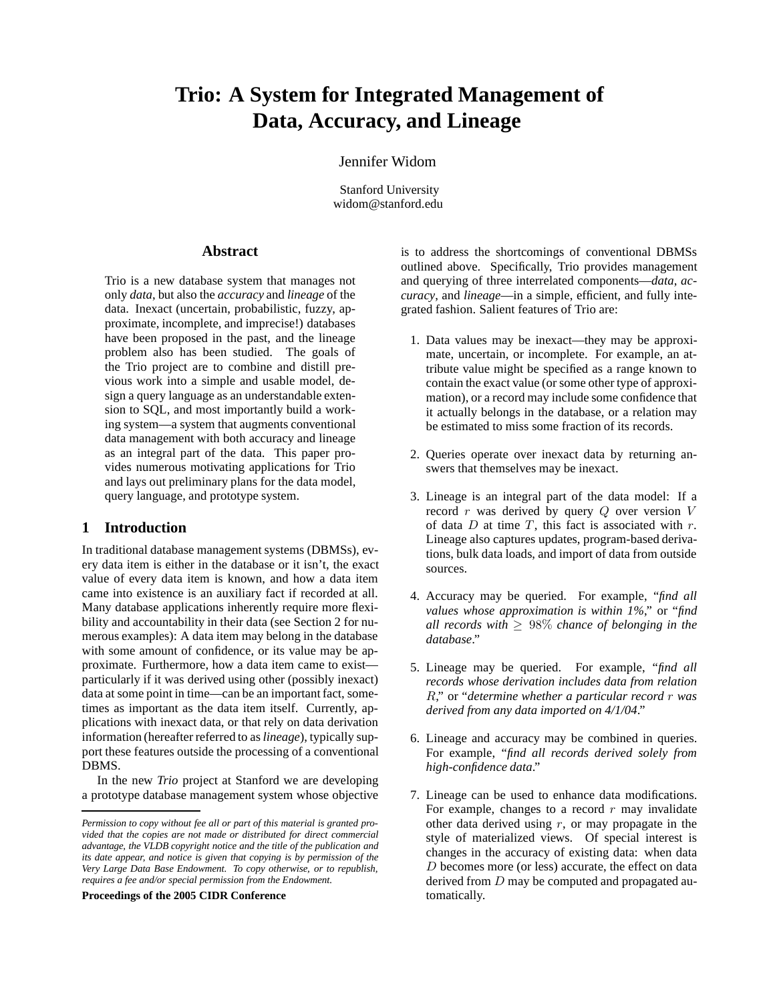# **Trio: A System for Integrated Management of Data, Accuracy, and Lineage**

# Jennifer Widom

Stanford University widom@stanford.edu

# **Abstract**

Trio is a new database system that manages not only *data*, but also the *accuracy* and *lineage* of the data. Inexact (uncertain, probabilistic, fuzzy, approximate, incomplete, and imprecise!) databases have been proposed in the past, and the lineage problem also has been studied. The goals of the Trio project are to combine and distill previous work into a simple and usable model, design a query language as an understandable extension to SQL, and most importantly build a working system—a system that augments conventional data management with both accuracy and lineage as an integral part of the data. This paper provides numerous motivating applications for Trio and lays out preliminary plans for the data model, query language, and prototype system.

# **1 Introduction**

In traditional database management systems (DBMSs), every data item is either in the database or it isn't, the exact value of every data item is known, and how a data item came into existence is an auxiliary fact if recorded at all. Many database applications inherently require more flexibility and accountability in their data (see Section 2 for numerous examples): A data item may belong in the database with some amount of confidence, or its value may be approximate. Furthermore, how a data item came to exist particularly if it was derived using other (possibly inexact) data at some point in time—can be an important fact, sometimes as important as the data item itself. Currently, applications with inexact data, or that rely on data derivation information (hereafter referred to as*lineage*), typically support these features outside the processing of a conventional DBMS.

In the new *Trio* project at Stanford we are developing a prototype database management system whose objective

**Proceedings of the 2005 CIDR Conference**

is to address the shortcomings of conventional DBMSs outlined above. Specifically, Trio provides management and querying of three interrelated components—*data*, *accuracy*, and *lineage*—in a simple, efficient, and fully integrated fashion. Salient features of Trio are:

- 1. Data values may be inexact—they may be approximate, uncertain, or incomplete. For example, an attribute value might be specified as a range known to contain the exact value (or some other type of approximation), or a record may include some confidence that it actually belongs in the database, or a relation may be estimated to miss some fraction of its records.
- 2. Queries operate over inexact data by returning answers that themselves may be inexact.
- 3. Lineage is an integral part of the data model: If a record  $r$  was derived by query  $Q$  over version  $V$ of data  $D$  at time  $T$ , this fact is associated with  $r$ . Lineage also captures updates, program-based derivations, bulk data loads, and import of data from outside sources.
- 4. Accuracy may be queried. For example, "*find all values whose approximation is within 1%*," or "*find all records with*  $\geq 98\%$  *chance of belonging in the database*."
- 5. Lineage may be queried. For example, "*find all records whose derivation includes data from relation* R," or "*determine whether a particular record* r *was derived from any data imported on 4/1/04*."
- 6. Lineage and accuracy may be combined in queries. For example, "*find all records derived solely from high-confidence data*."
- 7. Lineage can be used to enhance data modifications. For example, changes to a record  $r$  may invalidate other data derived using  $r$ , or may propagate in the style of materialized views. Of special interest is changes in the accuracy of existing data: when data D becomes more (or less) accurate, the effect on data derived from  $D$  may be computed and propagated automatically.

*Permission to copy without fee all or part of this material is granted provided that the copies are not made or distributed for direct commercial advantage, the VLDB copyright notice and the title of the publication and its date appear, and notice is given that copying is by permission of the Very Large Data Base Endowment. To copy otherwise, or to republish, requires a fee and/or special permission from the Endowment.*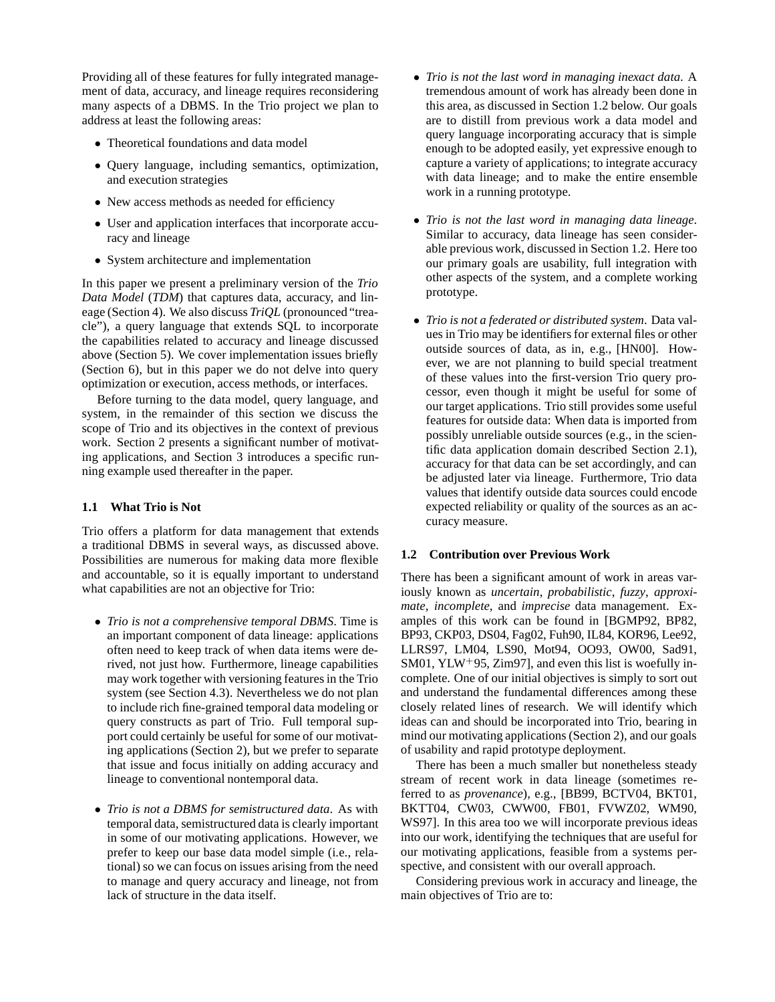Providing all of these features for fully integrated management of data, accuracy, and lineage requires reconsidering many aspects of a DBMS. In the Trio project we plan to address at least the following areas:

- Theoretical foundations and data model
- Query language, including semantics, optimization, and execution strategies
- New access methods as needed for efficiency
- User and application interfaces that incorporate accuracy and lineage
- System architecture and implementation

In this paper we present a preliminary version of the *Trio Data Model* (*TDM*) that captures data, accuracy, and lineage (Section 4). We also discuss *TriQL* (pronounced "treacle"), a query language that extends SQL to incorporate the capabilities related to accuracy and lineage discussed above (Section 5). We cover implementation issues briefly (Section 6), but in this paper we do not delve into query optimization or execution, access methods, or interfaces.

Before turning to the data model, query language, and system, in the remainder of this section we discuss the scope of Trio and its objectives in the context of previous work. Section 2 presents a significant number of motivating applications, and Section 3 introduces a specific running example used thereafter in the paper.

# **1.1 What Trio is Not**

Trio offers a platform for data management that extends a traditional DBMS in several ways, as discussed above. Possibilities are numerous for making data more flexible and accountable, so it is equally important to understand what capabilities are not an objective for Trio:

- *Trio is not a comprehensive temporal DBMS*. Time is an important component of data lineage: applications often need to keep track of when data items were derived, not just how. Furthermore, lineage capabilities may work together with versioning features in the Trio system (see Section 4.3). Nevertheless we do not plan to include rich fine-grained temporal data modeling or query constructs as part of Trio. Full temporal support could certainly be useful for some of our motivating applications (Section 2), but we prefer to separate that issue and focus initially on adding accuracy and lineage to conventional nontemporal data.
- *Trio is not a DBMS for semistructured data*. As with temporal data, semistructured data is clearly important in some of our motivating applications. However, we prefer to keep our base data model simple (i.e., relational) so we can focus on issues arising from the need to manage and query accuracy and lineage, not from lack of structure in the data itself.
- *Trio is not the last word in managing inexact data*. A tremendous amount of work has already been done in this area, as discussed in Section 1.2 below. Our goals are to distill from previous work a data model and query language incorporating accuracy that is simple enough to be adopted easily, yet expressive enough to capture a variety of applications; to integrate accuracy with data lineage; and to make the entire ensemble work in a running prototype.
- *Trio is not the last word in managing data lineage*. Similar to accuracy, data lineage has seen considerable previous work, discussed in Section 1.2. Here too our primary goals are usability, full integration with other aspects of the system, and a complete working prototype.
- *Trio is not a federated or distributed system*. Data values in Trio may be identifiers for external files or other outside sources of data, as in, e.g., [HN00]. However, we are not planning to build special treatment of these values into the first-version Trio query processor, even though it might be useful for some of our target applications. Trio still provides some useful features for outside data: When data is imported from possibly unreliable outside sources (e.g., in the scientific data application domain described Section 2.1), accuracy for that data can be set accordingly, and can be adjusted later via lineage. Furthermore, Trio data values that identify outside data sources could encode expected reliability or quality of the sources as an accuracy measure.

# **1.2 Contribution over Previous Work**

There has been a significant amount of work in areas variously known as *uncertain*, *probabilistic*, *fuzzy*, *approximate*, *incomplete*, and *imprecise* data management. Examples of this work can be found in [BGMP92, BP82, BP93, CKP03, DS04, Fag02, Fuh90, IL84, KOR96, Lee92, LLRS97, LM04, LS90, Mot94, OO93, OW00, Sad91, SM01, YLW<sup>+</sup>95, Zim97, and even this list is woefully incomplete. One of our initial objectives is simply to sort out and understand the fundamental differences among these closely related lines of research. We will identify which ideas can and should be incorporated into Trio, bearing in mind our motivating applications (Section 2), and our goals of usability and rapid prototype deployment.

There has been a much smaller but nonetheless steady stream of recent work in data lineage (sometimes referred to as *provenance*), e.g., [BB99, BCTV04, BKT01, BKTT04, CW03, CWW00, FB01, FVWZ02, WM90, WS97]. In this area too we will incorporate previous ideas into our work, identifying the techniques that are useful for our motivating applications, feasible from a systems perspective, and consistent with our overall approach.

Considering previous work in accuracy and lineage, the main objectives of Trio are to: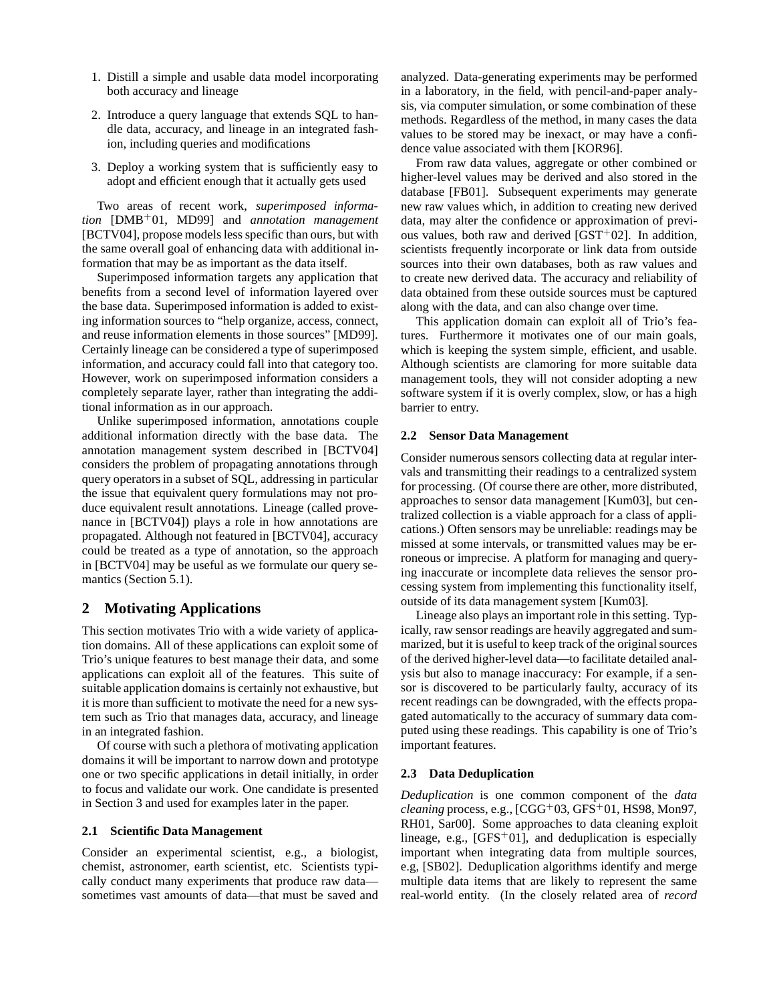- 1. Distill a simple and usable data model incorporating both accuracy and lineage
- 2. Introduce a query language that extends SQL to handle data, accuracy, and lineage in an integrated fashion, including queries and modifications
- 3. Deploy a working system that is sufficiently easy to adopt and efficient enough that it actually gets used

Two areas of recent work, *superimposed information* [DMB<sup>+</sup>01, MD99] and *annotation management* [BCTV04], propose models less specific than ours, but with the same overall goal of enhancing data with additional information that may be as important as the data itself.

Superimposed information targets any application that benefits from a second level of information layered over the base data. Superimposed information is added to existing information sources to "help organize, access, connect, and reuse information elements in those sources" [MD99]. Certainly lineage can be considered a type of superimposed information, and accuracy could fall into that category too. However, work on superimposed information considers a completely separate layer, rather than integrating the additional information as in our approach.

Unlike superimposed information, annotations couple additional information directly with the base data. The annotation management system described in [BCTV04] considers the problem of propagating annotations through query operators in a subset of SQL, addressing in particular the issue that equivalent query formulations may not produce equivalent result annotations. Lineage (called provenance in [BCTV04]) plays a role in how annotations are propagated. Although not featured in [BCTV04], accuracy could be treated as a type of annotation, so the approach in [BCTV04] may be useful as we formulate our query semantics (Section 5.1).

# **2 Motivating Applications**

This section motivates Trio with a wide variety of application domains. All of these applications can exploit some of Trio's unique features to best manage their data, and some applications can exploit all of the features. This suite of suitable application domains is certainly not exhaustive, but it is more than sufficient to motivate the need for a new system such as Trio that manages data, accuracy, and lineage in an integrated fashion.

Of course with such a plethora of motivating application domains it will be important to narrow down and prototype one or two specific applications in detail initially, in order to focus and validate our work. One candidate is presented in Section 3 and used for examples later in the paper.

# **2.1 Scientific Data Management**

Consider an experimental scientist, e.g., a biologist, chemist, astronomer, earth scientist, etc. Scientists typically conduct many experiments that produce raw data sometimes vast amounts of data—that must be saved and analyzed. Data-generating experiments may be performed in a laboratory, in the field, with pencil-and-paper analysis, via computer simulation, or some combination of these methods. Regardless of the method, in many cases the data values to be stored may be inexact, or may have a confidence value associated with them [KOR96].

From raw data values, aggregate or other combined or higher-level values may be derived and also stored in the database [FB01]. Subsequent experiments may generate new raw values which, in addition to creating new derived data, may alter the confidence or approximation of previous values, both raw and derived  $[GST<sup>+</sup>02]$ . In addition, scientists frequently incorporate or link data from outside sources into their own databases, both as raw values and to create new derived data. The accuracy and reliability of data obtained from these outside sources must be captured along with the data, and can also change over time.

This application domain can exploit all of Trio's features. Furthermore it motivates one of our main goals, which is keeping the system simple, efficient, and usable. Although scientists are clamoring for more suitable data management tools, they will not consider adopting a new software system if it is overly complex, slow, or has a high barrier to entry.

#### **2.2 Sensor Data Management**

Consider numerous sensors collecting data at regular intervals and transmitting their readings to a centralized system for processing. (Of course there are other, more distributed, approaches to sensor data management [Kum03], but centralized collection is a viable approach for a class of applications.) Often sensors may be unreliable: readings may be missed at some intervals, or transmitted values may be erroneous or imprecise. A platform for managing and querying inaccurate or incomplete data relieves the sensor processing system from implementing this functionality itself, outside of its data management system [Kum03].

Lineage also plays an important role in this setting. Typically, raw sensor readings are heavily aggregated and summarized, but it is useful to keep track of the original sources of the derived higher-level data—to facilitate detailed analysis but also to manage inaccuracy: For example, if a sensor is discovered to be particularly faulty, accuracy of its recent readings can be downgraded, with the effects propagated automatically to the accuracy of summary data computed using these readings. This capability is one of Trio's important features.

#### **2.3 Data Deduplication**

*Deduplication* is one common component of the *data cleaning* process, e.g., [CGG<sup>+</sup>03, GFS<sup>+</sup>01, HS98, Mon97, RH01, Sar00]. Some approaches to data cleaning exploit lineage, e.g.,  $[GFS+01]$ , and deduplication is especially important when integrating data from multiple sources, e.g, [SB02]. Deduplication algorithms identify and merge multiple data items that are likely to represent the same real-world entity. (In the closely related area of *record*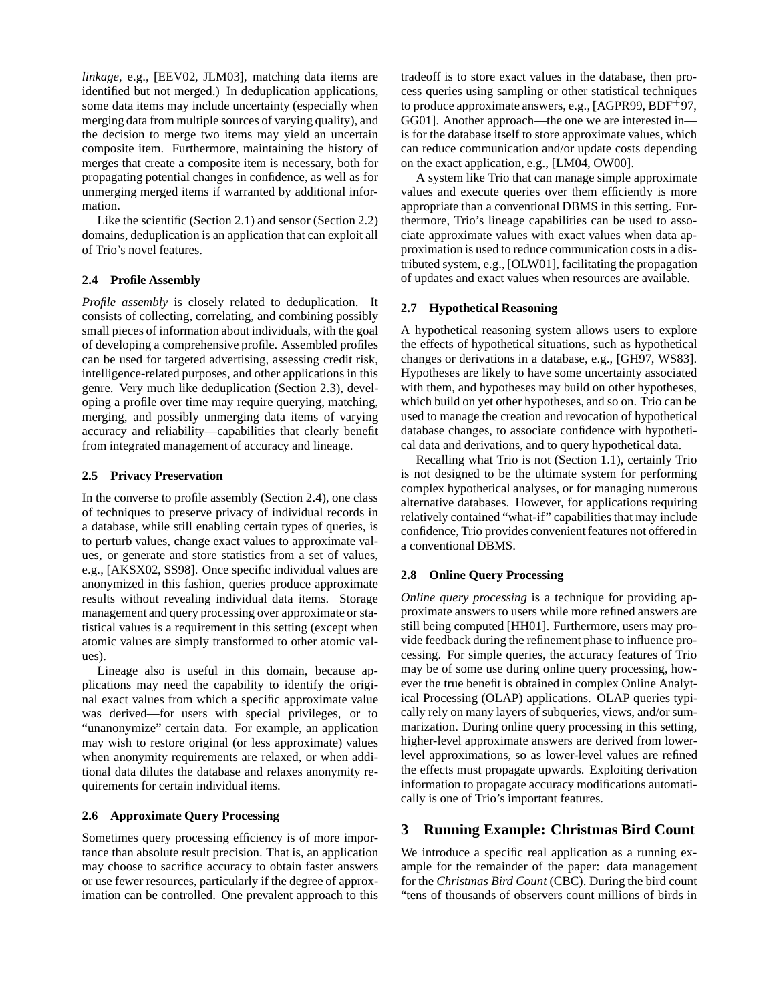*linkage*, e.g., [EEV02, JLM03], matching data items are identified but not merged.) In deduplication applications, some data items may include uncertainty (especially when merging data from multiple sources of varying quality), and the decision to merge two items may yield an uncertain composite item. Furthermore, maintaining the history of merges that create a composite item is necessary, both for propagating potential changes in confidence, as well as for unmerging merged items if warranted by additional information.

Like the scientific (Section 2.1) and sensor (Section 2.2) domains, deduplication is an application that can exploit all of Trio's novel features.

# **2.4 Profile Assembly**

*Profile assembly* is closely related to deduplication. It consists of collecting, correlating, and combining possibly small pieces of information about individuals, with the goal of developing a comprehensive profile. Assembled profiles can be used for targeted advertising, assessing credit risk, intelligence-related purposes, and other applications in this genre. Very much like deduplication (Section 2.3), developing a profile over time may require querying, matching, merging, and possibly unmerging data items of varying accuracy and reliability—capabilities that clearly benefit from integrated management of accuracy and lineage.

# **2.5 Privacy Preservation**

In the converse to profile assembly (Section 2.4), one class of techniques to preserve privacy of individual records in a database, while still enabling certain types of queries, is to perturb values, change exact values to approximate values, or generate and store statistics from a set of values, e.g., [AKSX02, SS98]. Once specific individual values are anonymized in this fashion, queries produce approximate results without revealing individual data items. Storage management and query processing over approximate or statistical values is a requirement in this setting (except when atomic values are simply transformed to other atomic values).

Lineage also is useful in this domain, because applications may need the capability to identify the original exact values from which a specific approximate value was derived—for users with special privileges, or to "unanonymize" certain data. For example, an application may wish to restore original (or less approximate) values when anonymity requirements are relaxed, or when additional data dilutes the database and relaxes anonymity requirements for certain individual items.

# **2.6 Approximate Query Processing**

Sometimes query processing efficiency is of more importance than absolute result precision. That is, an application may choose to sacrifice accuracy to obtain faster answers or use fewer resources, particularly if the degree of approximation can be controlled. One prevalent approach to this tradeoff is to store exact values in the database, then process queries using sampling or other statistical techniques to produce approximate answers, e.g., [AGPR99, BDF<sup>+</sup>97, GG01]. Another approach—the one we are interested in is for the database itself to store approximate values, which can reduce communication and/or update costs depending on the exact application, e.g., [LM04, OW00].

A system like Trio that can manage simple approximate values and execute queries over them efficiently is more appropriate than a conventional DBMS in this setting. Furthermore, Trio's lineage capabilities can be used to associate approximate values with exact values when data approximation is used to reduce communication costs in a distributed system, e.g., [OLW01], facilitating the propagation of updates and exact values when resources are available.

# **2.7 Hypothetical Reasoning**

A hypothetical reasoning system allows users to explore the effects of hypothetical situations, such as hypothetical changes or derivations in a database, e.g., [GH97, WS83]. Hypotheses are likely to have some uncertainty associated with them, and hypotheses may build on other hypotheses, which build on yet other hypotheses, and so on. Trio can be used to manage the creation and revocation of hypothetical database changes, to associate confidence with hypothetical data and derivations, and to query hypothetical data.

Recalling what Trio is not (Section 1.1), certainly Trio is not designed to be the ultimate system for performing complex hypothetical analyses, or for managing numerous alternative databases. However, for applications requiring relatively contained "what-if" capabilities that may include confidence, Trio provides convenient features not offered in a conventional DBMS.

# **2.8 Online Query Processing**

*Online query processing* is a technique for providing approximate answers to users while more refined answers are still being computed [HH01]. Furthermore, users may provide feedback during the refinement phase to influence processing. For simple queries, the accuracy features of Trio may be of some use during online query processing, however the true benefit is obtained in complex Online Analytical Processing (OLAP) applications. OLAP queries typically rely on many layers of subqueries, views, and/or summarization. During online query processing in this setting, higher-level approximate answers are derived from lowerlevel approximations, so as lower-level values are refined the effects must propagate upwards. Exploiting derivation information to propagate accuracy modifications automatically is one of Trio's important features.

# **3 Running Example: Christmas Bird Count**

We introduce a specific real application as a running example for the remainder of the paper: data management for the *Christmas Bird Count* (CBC). During the bird count "tens of thousands of observers count millions of birds in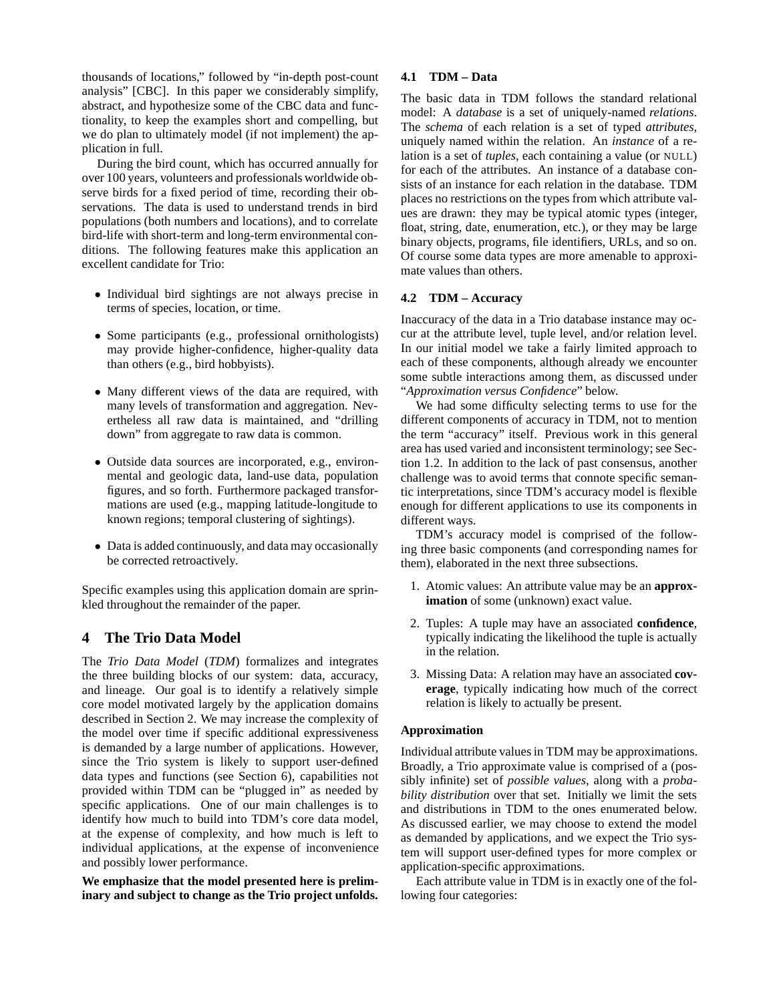thousands of locations," followed by "in-depth post-count analysis" [CBC]. In this paper we considerably simplify, abstract, and hypothesize some of the CBC data and functionality, to keep the examples short and compelling, but we do plan to ultimately model (if not implement) the application in full.

During the bird count, which has occurred annually for over 100 years, volunteers and professionals worldwide observe birds for a fixed period of time, recording their observations. The data is used to understand trends in bird populations (both numbers and locations), and to correlate bird-life with short-term and long-term environmental conditions. The following features make this application an excellent candidate for Trio:

- Individual bird sightings are not always precise in terms of species, location, or time.
- Some participants (e.g., professional ornithologists) may provide higher-confidence, higher-quality data than others (e.g., bird hobbyists).
- Many different views of the data are required, with many levels of transformation and aggregation. Nevertheless all raw data is maintained, and "drilling down" from aggregate to raw data is common.
- Outside data sources are incorporated, e.g., environmental and geologic data, land-use data, population figures, and so forth. Furthermore packaged transformations are used (e.g., mapping latitude-longitude to known regions; temporal clustering of sightings).
- Data is added continuously, and data may occasionally be corrected retroactively.

Specific examples using this application domain are sprinkled throughout the remainder of the paper.

# **4 The Trio Data Model**

The *Trio Data Model* (*TDM*) formalizes and integrates the three building blocks of our system: data, accuracy, and lineage. Our goal is to identify a relatively simple core model motivated largely by the application domains described in Section 2. We may increase the complexity of the model over time if specific additional expressiveness is demanded by a large number of applications. However, since the Trio system is likely to support user-defined data types and functions (see Section 6), capabilities not provided within TDM can be "plugged in" as needed by specific applications. One of our main challenges is to identify how much to build into TDM's core data model, at the expense of complexity, and how much is left to individual applications, at the expense of inconvenience and possibly lower performance.

**We emphasize that the model presented here is preliminary and subject to change as the Trio project unfolds.**

### **4.1 TDM – Data**

The basic data in TDM follows the standard relational model: A *database* is a set of uniquely-named *relations*. The *schema* of each relation is a set of typed *attributes*, uniquely named within the relation. An *instance* of a relation is a set of *tuples*, each containing a value (or NULL) for each of the attributes. An instance of a database consists of an instance for each relation in the database. TDM places no restrictions on the types from which attribute values are drawn: they may be typical atomic types (integer, float, string, date, enumeration, etc.), or they may be large binary objects, programs, file identifiers, URLs, and so on. Of course some data types are more amenable to approximate values than others.

#### **4.2 TDM – Accuracy**

Inaccuracy of the data in a Trio database instance may occur at the attribute level, tuple level, and/or relation level. In our initial model we take a fairly limited approach to each of these components, although already we encounter some subtle interactions among them, as discussed under "*Approximation versus Confidence*" below.

We had some difficulty selecting terms to use for the different components of accuracy in TDM, not to mention the term "accuracy" itself. Previous work in this general area has used varied and inconsistent terminology; see Section 1.2. In addition to the lack of past consensus, another challenge was to avoid terms that connote specific semantic interpretations, since TDM's accuracy model is flexible enough for different applications to use its components in different ways.

TDM's accuracy model is comprised of the following three basic components (and corresponding names for them), elaborated in the next three subsections.

- 1. Atomic values: An attribute value may be an **approximation** of some (unknown) exact value.
- 2. Tuples: A tuple may have an associated **confidence**, typically indicating the likelihood the tuple is actually in the relation.
- 3. Missing Data: A relation may have an associated **coverage**, typically indicating how much of the correct relation is likely to actually be present.

# **Approximation**

Individual attribute values in TDM may be approximations. Broadly, a Trio approximate value is comprised of a (possibly infinite) set of *possible values*, along with a *probability distribution* over that set. Initially we limit the sets and distributions in TDM to the ones enumerated below. As discussed earlier, we may choose to extend the model as demanded by applications, and we expect the Trio system will support user-defined types for more complex or application-specific approximations.

Each attribute value in TDM is in exactly one of the following four categories: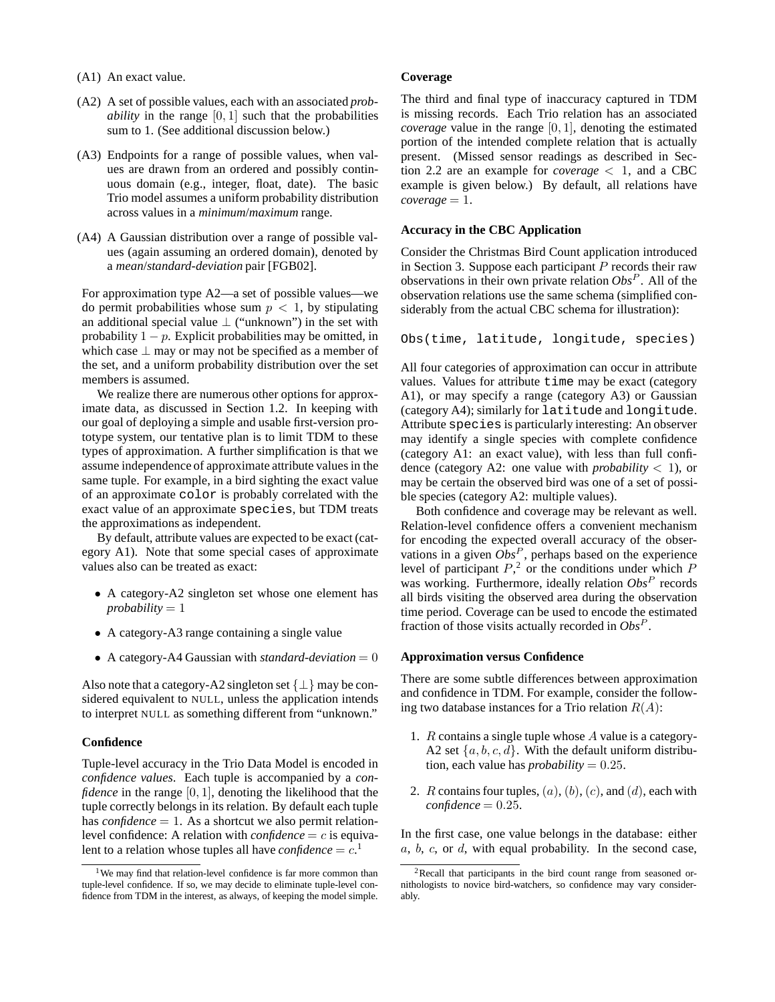- (A1) An exact value.
- (A2) A set of possible values, each with an associated *probability* in the range  $[0, 1]$  such that the probabilities sum to 1. (See additional discussion below.)
- (A3) Endpoints for a range of possible values, when values are drawn from an ordered and possibly continuous domain (e.g., integer, float, date). The basic Trio model assumes a uniform probability distribution across values in a *minimum*/*maximum* range.
- (A4) A Gaussian distribution over a range of possible values (again assuming an ordered domain), denoted by a *mean*/*standard-deviation* pair [FGB02].

For approximation type A2—a set of possible values—we do permit probabilities whose sum  $p < 1$ , by stipulating an additional special value  $\perp$  ("unknown") in the set with probability  $1 - p$ . Explicit probabilities may be omitted, in which case  $\perp$  may or may not be specified as a member of the set, and a uniform probability distribution over the set members is assumed.

We realize there are numerous other options for approximate data, as discussed in Section 1.2. In keeping with our goal of deploying a simple and usable first-version prototype system, our tentative plan is to limit TDM to these types of approximation. A further simplification is that we assume independence of approximate attribute values in the same tuple. For example, in a bird sighting the exact value of an approximate color is probably correlated with the exact value of an approximate species, but TDM treats the approximations as independent.

By default, attribute values are expected to be exact (category A1). Note that some special cases of approximate values also can be treated as exact:

- A category-A2 singleton set whose one element has  $probability = 1$
- A category-A3 range containing a single value
- A category-A4 Gaussian with *standard-deviation*  $= 0$

Also note that a category-A2 singleton set  $\{\perp\}$  may be considered equivalent to NULL, unless the application intends to interpret NULL as something different from "unknown."

#### **Confidence**

Tuple-level accuracy in the Trio Data Model is encoded in *confidence values*. Each tuple is accompanied by a *confidence* in the range [0, 1], denoting the likelihood that the tuple correctly belongs in its relation. By default each tuple has *confidence*  $= 1$ . As a shortcut we also permit relationlevel confidence: A relation with  $confidence = c$  is equivalent to a relation whose tuples all have *confidence* =  $c^1$ .

#### **Coverage**

The third and final type of inaccuracy captured in TDM is missing records. Each Trio relation has an associated *coverage* value in the range [0, 1], denoting the estimated portion of the intended complete relation that is actually present. (Missed sensor readings as described in Section 2.2 are an example for *coverage*  $\langle 1$ , and a CBC example is given below.) By default, all relations have  $coverage = 1$ .

# **Accuracy in the CBC Application**

Consider the Christmas Bird Count application introduced in Section 3. Suppose each participant  $P$  records their raw observations in their own private relation *Obs*<sup>P</sup> . All of the observation relations use the same schema (simplified considerably from the actual CBC schema for illustration):

Obs(time, latitude, longitude, species)

All four categories of approximation can occur in attribute values. Values for attribute time may be exact (category A1), or may specify a range (category A3) or Gaussian (category A4); similarly for latitude and longitude. Attribute species is particularly interesting: An observer may identify a single species with complete confidence (category A1: an exact value), with less than full confidence (category A2: one value with *probability*  $\lt$  1), or may be certain the observed bird was one of a set of possible species (category A2: multiple values).

Both confidence and coverage may be relevant as well. Relation-level confidence offers a convenient mechanism for encoding the expected overall accuracy of the observations in a given  $Obs<sup>P</sup>$ , perhaps based on the experience level of participant  $P<sub>1</sub><sup>2</sup>$  or the conditions under which  $P$ was working. Furthermore, ideally relation  $Obs^P$  records all birds visiting the observed area during the observation time period. Coverage can be used to encode the estimated fraction of those visits actually recorded in *Obs*<sup>P</sup> .

#### **Approximation versus Confidence**

There are some subtle differences between approximation and confidence in TDM. For example, consider the following two database instances for a Trio relation  $R(A)$ :

- 1. R contains a single tuple whose A value is a category-A2 set  $\{a, b, c, d\}$ . With the default uniform distribution, each value has *probability* =  $0.25$ .
- 2. R contains four tuples,  $(a)$ ,  $(b)$ ,  $(c)$ , and  $(d)$ , each with  $confidence = 0.25$ .

In the first case, one value belongs in the database: either  $a, b, c,$  or  $d$ , with equal probability. In the second case,

<sup>&</sup>lt;sup>1</sup>We may find that relation-level confidence is far more common than tuple-level confidence. If so, we may decide to eliminate tuple-level confidence from TDM in the interest, as always, of keeping the model simple.

<sup>2</sup>Recall that participants in the bird count range from seasoned ornithologists to novice bird-watchers, so confidence may vary considerably.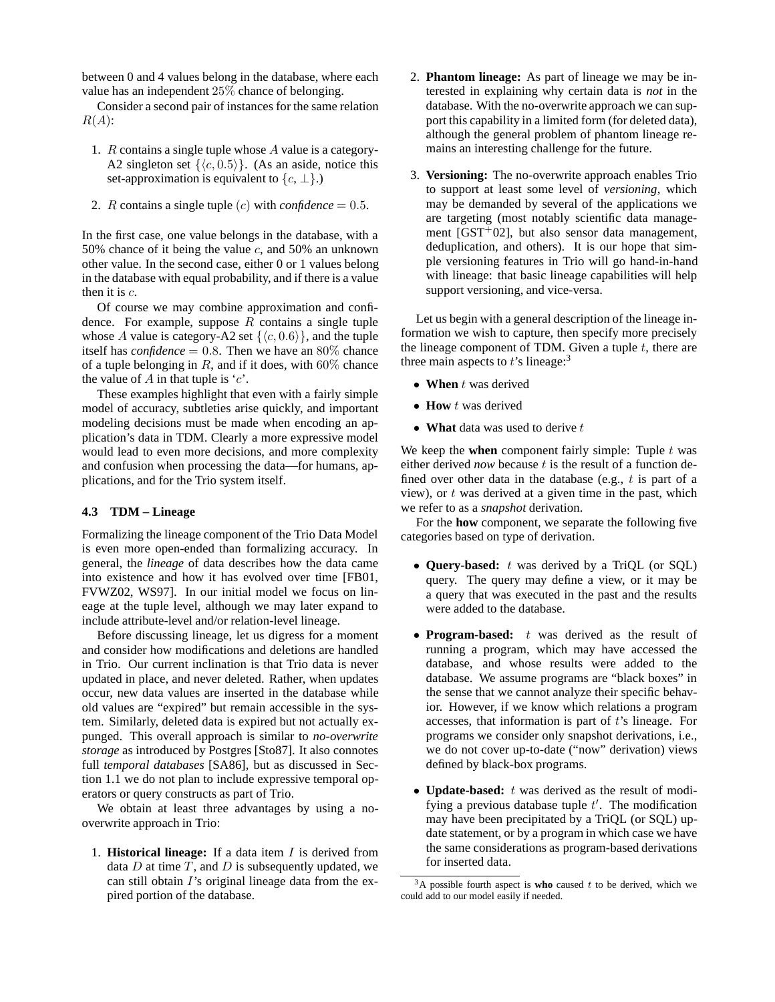between 0 and 4 values belong in the database, where each value has an independent 25% chance of belonging.

Consider a second pair of instances for the same relation  $R(A)$ :

- 1. R contains a single tuple whose A value is a category-A2 singleton set  $\{\langle c, 0.5\rangle\}$ . (As an aside, notice this set-approximation is equivalent to  $\{c, \perp\}$ .)
- 2. *R* contains a single tuple  $(c)$  with *confidence* = 0.5.

In the first case, one value belongs in the database, with a 50% chance of it being the value  $c$ , and 50% an unknown other value. In the second case, either 0 or 1 values belong in the database with equal probability, and if there is a value then it is  $c$ .

Of course we may combine approximation and confidence. For example, suppose  $R$  contains a single tuple whose A value is category-A2 set  $\{\langle c, 0.6 \rangle\}$ , and the tuple itself has *confidence* = 0.8. Then we have an  $80\%$  chance of a tuple belonging in  $R$ , and if it does, with  $60\%$  chance the value of A in that tuple is  $c$ .

These examples highlight that even with a fairly simple model of accuracy, subtleties arise quickly, and important modeling decisions must be made when encoding an application's data in TDM. Clearly a more expressive model would lead to even more decisions, and more complexity and confusion when processing the data—for humans, applications, and for the Trio system itself.

# **4.3 TDM – Lineage**

Formalizing the lineage component of the Trio Data Model is even more open-ended than formalizing accuracy. In general, the *lineage* of data describes how the data came into existence and how it has evolved over time [FB01, FVWZ02, WS97]. In our initial model we focus on lineage at the tuple level, although we may later expand to include attribute-level and/or relation-level lineage.

Before discussing lineage, let us digress for a moment and consider how modifications and deletions are handled in Trio. Our current inclination is that Trio data is never updated in place, and never deleted. Rather, when updates occur, new data values are inserted in the database while old values are "expired" but remain accessible in the system. Similarly, deleted data is expired but not actually expunged. This overall approach is similar to *no-overwrite storage* as introduced by Postgres [Sto87]. It also connotes full *temporal databases* [SA86], but as discussed in Section 1.1 we do not plan to include expressive temporal operators or query constructs as part of Trio.

We obtain at least three advantages by using a nooverwrite approach in Trio:

1. **Historical lineage:** If a data item I is derived from data D at time T, and D is subsequently updated, we can still obtain I's original lineage data from the expired portion of the database.

- 2. **Phantom lineage:** As part of lineage we may be interested in explaining why certain data is *not* in the database. With the no-overwrite approach we can support this capability in a limited form (for deleted data), although the general problem of phantom lineage remains an interesting challenge for the future.
- 3. **Versioning:** The no-overwrite approach enables Trio to support at least some level of *versioning*, which may be demanded by several of the applications we are targeting (most notably scientific data management  $[GST^+02]$ , but also sensor data management, deduplication, and others). It is our hope that simple versioning features in Trio will go hand-in-hand with lineage: that basic lineage capabilities will help support versioning, and vice-versa.

Let us begin with a general description of the lineage information we wish to capture, then specify more precisely the lineage component of TDM. Given a tuple  $t$ , there are three main aspects to  $t$ 's lineage:<sup>3</sup>

- When t was derived
- **How** t was derived
- **What** data was used to derive t

We keep the **when** component fairly simple: Tuple  $t$  was either derived *now* because t is the result of a function defined over other data in the database (e.g.,  $t$  is part of a view), or  $t$  was derived at a given time in the past, which we refer to as a *snapshot* derivation.

For the **how** component, we separate the following five categories based on type of derivation.

- **Query-based:** t was derived by a TriQL (or SQL) query. The query may define a view, or it may be a query that was executed in the past and the results were added to the database.
- **Program-based:** t was derived as the result of running a program, which may have accessed the database, and whose results were added to the database. We assume programs are "black boxes" in the sense that we cannot analyze their specific behavior. However, if we know which relations a program accesses, that information is part of  $t$ 's lineage. For programs we consider only snapshot derivations, i.e., we do not cover up-to-date ("now" derivation) views defined by black-box programs.
- **Update-based:** t was derived as the result of modifying a previous database tuple  $t'$ . The modification may have been precipitated by a TriQL (or SQL) update statement, or by a program in which case we have the same considerations as program-based derivations for inserted data.

 $3A$  possible fourth aspect is **who** caused t to be derived, which we could add to our model easily if needed.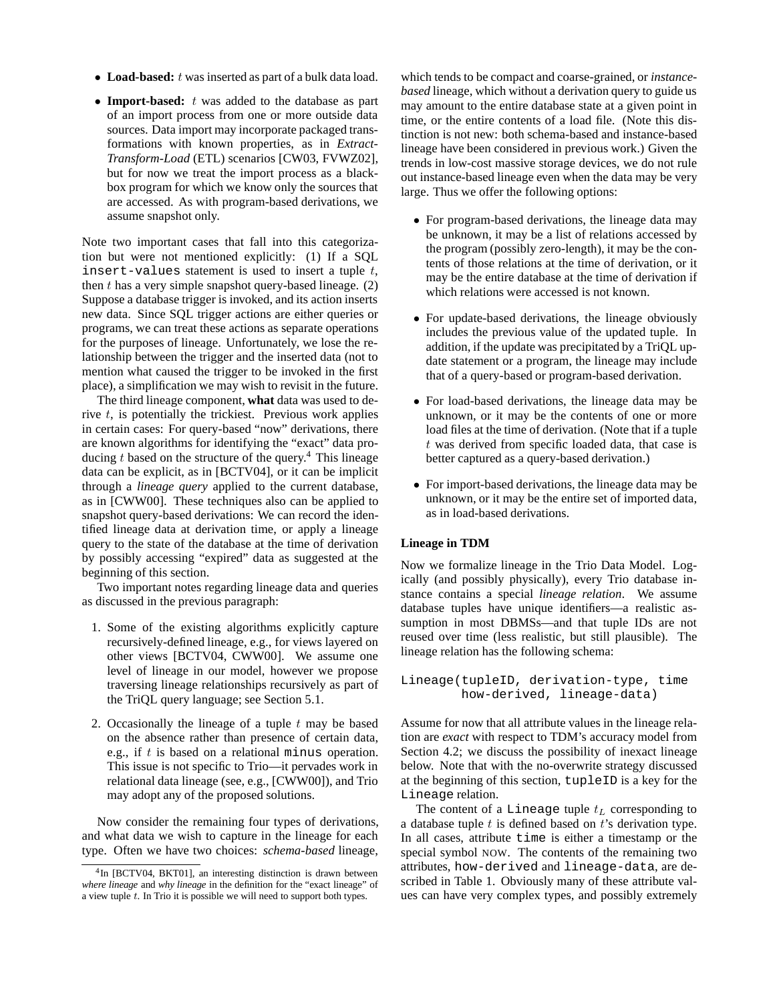- Load-based: t was inserted as part of a bulk data load.
- **Import-based:** t was added to the database as part of an import process from one or more outside data sources. Data import may incorporate packaged transformations with known properties, as in *Extract-Transform-Load* (ETL) scenarios [CW03, FVWZ02], but for now we treat the import process as a blackbox program for which we know only the sources that are accessed. As with program-based derivations, we assume snapshot only.

Note two important cases that fall into this categorization but were not mentioned explicitly: (1) If a SQL insert-values statement is used to insert a tuple  $t$ , then  $t$  has a very simple snapshot query-based lineage.  $(2)$ Suppose a database trigger is invoked, and its action inserts new data. Since SQL trigger actions are either queries or programs, we can treat these actions as separate operations for the purposes of lineage. Unfortunately, we lose the relationship between the trigger and the inserted data (not to mention what caused the trigger to be invoked in the first place), a simplification we may wish to revisit in the future.

The third lineage component, **what** data was used to derive  $t$ , is potentially the trickiest. Previous work applies in certain cases: For query-based "now" derivations, there are known algorithms for identifying the "exact" data producing  $t$  based on the structure of the query.<sup>4</sup> This lineage data can be explicit, as in [BCTV04], or it can be implicit through a *lineage query* applied to the current database, as in [CWW00]. These techniques also can be applied to snapshot query-based derivations: We can record the identified lineage data at derivation time, or apply a lineage query to the state of the database at the time of derivation by possibly accessing "expired" data as suggested at the beginning of this section.

Two important notes regarding lineage data and queries as discussed in the previous paragraph:

- 1. Some of the existing algorithms explicitly capture recursively-defined lineage, e.g., for views layered on other views [BCTV04, CWW00]. We assume one level of lineage in our model, however we propose traversing lineage relationships recursively as part of the TriQL query language; see Section 5.1.
- 2. Occasionally the lineage of a tuple  $t$  may be based on the absence rather than presence of certain data, e.g., if t is based on a relational minus operation. This issue is not specific to Trio—it pervades work in relational data lineage (see, e.g., [CWW00]), and Trio may adopt any of the proposed solutions.

Now consider the remaining four types of derivations, and what data we wish to capture in the lineage for each type. Often we have two choices: *schema-based* lineage,

which tends to be compact and coarse-grained, or *instancebased* lineage, which without a derivation query to guide us may amount to the entire database state at a given point in time, or the entire contents of a load file. (Note this distinction is not new: both schema-based and instance-based lineage have been considered in previous work.) Given the trends in low-cost massive storage devices, we do not rule out instance-based lineage even when the data may be very large. Thus we offer the following options:

- For program-based derivations, the lineage data may be unknown, it may be a list of relations accessed by the program (possibly zero-length), it may be the contents of those relations at the time of derivation, or it may be the entire database at the time of derivation if which relations were accessed is not known.
- For update-based derivations, the lineage obviously includes the previous value of the updated tuple. In addition, if the update was precipitated by a TriQL update statement or a program, the lineage may include that of a query-based or program-based derivation.
- For load-based derivations, the lineage data may be unknown, or it may be the contents of one or more load files at the time of derivation. (Note that if a tuple t was derived from specific loaded data, that case is better captured as a query-based derivation.)
- For import-based derivations, the lineage data may be unknown, or it may be the entire set of imported data, as in load-based derivations.

# **Lineage in TDM**

Now we formalize lineage in the Trio Data Model. Logically (and possibly physically), every Trio database instance contains a special *lineage relation*. We assume database tuples have unique identifiers—a realistic assumption in most DBMSs—and that tuple IDs are not reused over time (less realistic, but still plausible). The lineage relation has the following schema:

```
Lineage(tupleID, derivation-type, time
how-derived, lineage-data)
```
Assume for now that all attribute values in the lineage relation are *exact* with respect to TDM's accuracy model from Section 4.2; we discuss the possibility of inexact lineage below. Note that with the no-overwrite strategy discussed at the beginning of this section, tupleID is a key for the Lineage relation.

The content of a Lineage tuple  $t_L$  corresponding to a database tuple  $t$  is defined based on  $t$ 's derivation type. In all cases, attribute time is either a timestamp or the special symbol NOW. The contents of the remaining two attributes, how-derived and lineage-data, are described in Table 1. Obviously many of these attribute values can have very complex types, and possibly extremely

<sup>4</sup>In [BCTV04, BKT01], an interesting distinction is drawn between *where lineage* and *why lineage* in the definition for the "exact lineage" of a view tuple  $t$ . In Trio it is possible we will need to support both types.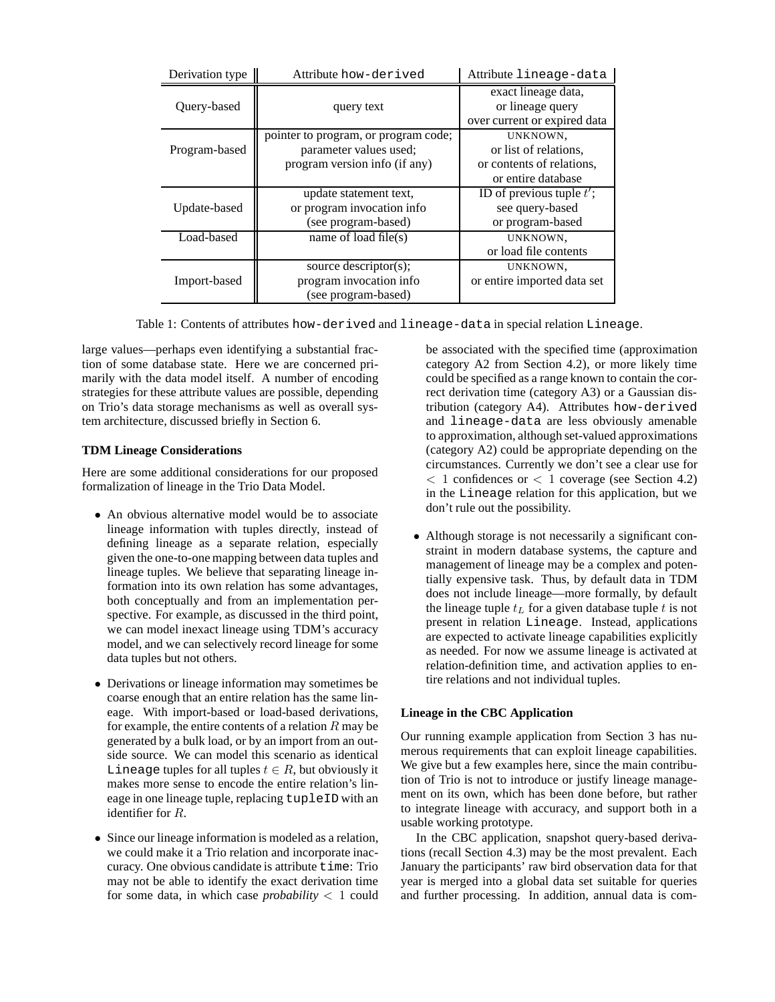| Derivation type | Attribute how-derived                | Attribute lineage-data                  |
|-----------------|--------------------------------------|-----------------------------------------|
| Query-based     |                                      | exact lineage data,<br>or lineage query |
|                 | query text                           | over current or expired data            |
|                 | pointer to program, or program code; | UNKNOWN,                                |
| Program-based   | parameter values used;               | or list of relations,                   |
|                 | program version info (if any)        | or contents of relations,               |
|                 |                                      | or entire database                      |
|                 | update statement text,               | ID of previous tuple $t'$ ;             |
| Update-based    | or program invocation info           | see query-based                         |
|                 | (see program-based)                  | or program-based                        |
| Load-based      | name of load file $(s)$              | UNKNOWN,                                |
|                 |                                      | or load file contents                   |
|                 | source descriptor(s);                | UNKNOWN,                                |
| Import-based    | program invocation info              | or entire imported data set             |
|                 | (see program-based)                  |                                         |

Table 1: Contents of attributes how-derived and lineage-data in special relation Lineage.

large values—perhaps even identifying a substantial fraction of some database state. Here we are concerned primarily with the data model itself. A number of encoding strategies for these attribute values are possible, depending on Trio's data storage mechanisms as well as overall system architecture, discussed briefly in Section 6.

#### **TDM Lineage Considerations**

Here are some additional considerations for our proposed formalization of lineage in the Trio Data Model.

- An obvious alternative model would be to associate lineage information with tuples directly, instead of defining lineage as a separate relation, especially given the one-to-one mapping between data tuples and lineage tuples. We believe that separating lineage information into its own relation has some advantages, both conceptually and from an implementation perspective. For example, as discussed in the third point, we can model inexact lineage using TDM's accuracy model, and we can selectively record lineage for some data tuples but not others.
- Derivations or lineage information may sometimes be coarse enough that an entire relation has the same lineage. With import-based or load-based derivations, for example, the entire contents of a relation  $R$  may be generated by a bulk load, or by an import from an outside source. We can model this scenario as identical Lineage tuples for all tuples  $t \in R$ , but obviously it makes more sense to encode the entire relation's lineage in one lineage tuple, replacing tupleID with an identifier for R.
- Since our lineage information is modeled as a relation, we could make it a Trio relation and incorporate inaccuracy. One obvious candidate is attribute time: Trio may not be able to identify the exact derivation time for some data, in which case *probability*  $\lt$  1 could

be associated with the specified time (approximation category A2 from Section 4.2), or more likely time could be specified as a range known to contain the correct derivation time (category A3) or a Gaussian distribution (category A4). Attributes how-derived and lineage-data are less obviously amenable to approximation, although set-valued approximations (category A2) could be appropriate depending on the circumstances. Currently we don't see a clear use for  $<$  1 confidences or  $<$  1 coverage (see Section 4.2) in the Lineage relation for this application, but we don't rule out the possibility.

• Although storage is not necessarily a significant constraint in modern database systems, the capture and management of lineage may be a complex and potentially expensive task. Thus, by default data in TDM does not include lineage—more formally, by default the lineage tuple  $t_L$  for a given database tuple t is not present in relation Lineage. Instead, applications are expected to activate lineage capabilities explicitly as needed. For now we assume lineage is activated at relation-definition time, and activation applies to entire relations and not individual tuples.

# **Lineage in the CBC Application**

Our running example application from Section 3 has numerous requirements that can exploit lineage capabilities. We give but a few examples here, since the main contribution of Trio is not to introduce or justify lineage management on its own, which has been done before, but rather to integrate lineage with accuracy, and support both in a usable working prototype.

In the CBC application, snapshot query-based derivations (recall Section 4.3) may be the most prevalent. Each January the participants' raw bird observation data for that year is merged into a global data set suitable for queries and further processing. In addition, annual data is com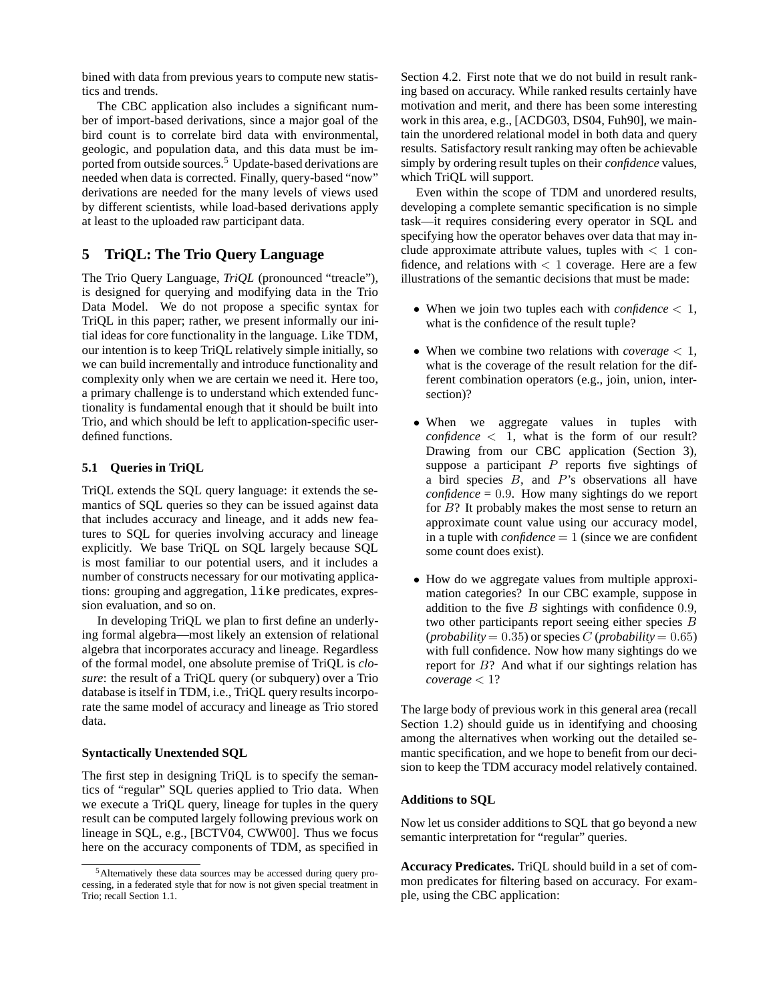bined with data from previous years to compute new statistics and trends.

The CBC application also includes a significant number of import-based derivations, since a major goal of the bird count is to correlate bird data with environmental, geologic, and population data, and this data must be imported from outside sources.<sup>5</sup> Update-based derivations are needed when data is corrected. Finally, query-based "now" derivations are needed for the many levels of views used by different scientists, while load-based derivations apply at least to the uploaded raw participant data.

# **5 TriQL: The Trio Query Language**

The Trio Query Language, *TriQL* (pronounced "treacle"), is designed for querying and modifying data in the Trio Data Model. We do not propose a specific syntax for TriQL in this paper; rather, we present informally our initial ideas for core functionality in the language. Like TDM, our intention is to keep TriQL relatively simple initially, so we can build incrementally and introduce functionality and complexity only when we are certain we need it. Here too, a primary challenge is to understand which extended functionality is fundamental enough that it should be built into Trio, and which should be left to application-specific userdefined functions.

### **5.1 Queries in TriQL**

TriQL extends the SQL query language: it extends the semantics of SQL queries so they can be issued against data that includes accuracy and lineage, and it adds new features to SQL for queries involving accuracy and lineage explicitly. We base TriQL on SQL largely because SQL is most familiar to our potential users, and it includes a number of constructs necessary for our motivating applications: grouping and aggregation, like predicates, expression evaluation, and so on.

In developing TriQL we plan to first define an underlying formal algebra—most likely an extension of relational algebra that incorporates accuracy and lineage. Regardless of the formal model, one absolute premise of TriQL is *closure*: the result of a TriQL query (or subquery) over a Trio database is itself in TDM, i.e., TriQL query results incorporate the same model of accuracy and lineage as Trio stored data.

#### **Syntactically Unextended SQL**

The first step in designing TriQL is to specify the semantics of "regular" SQL queries applied to Trio data. When we execute a TriQL query, lineage for tuples in the query result can be computed largely following previous work on lineage in SQL, e.g., [BCTV04, CWW00]. Thus we focus here on the accuracy components of TDM, as specified in

Section 4.2. First note that we do not build in result ranking based on accuracy. While ranked results certainly have motivation and merit, and there has been some interesting work in this area, e.g., [ACDG03, DS04, Fuh90], we maintain the unordered relational model in both data and query results. Satisfactory result ranking may often be achievable simply by ordering result tuples on their *confidence* values, which TriQL will support.

Even within the scope of TDM and unordered results, developing a complete semantic specification is no simple task—it requires considering every operator in SQL and specifying how the operator behaves over data that may include approximate attribute values, tuples with  $\langle 1 \rangle$  confidence, and relations with  $< 1$  coverage. Here are a few illustrations of the semantic decisions that must be made:

- When we join two tuples each with *confidence* < 1, what is the confidence of the result tuple?
- When we combine two relations with *coverage* < 1, what is the coverage of the result relation for the different combination operators (e.g., join, union, intersection)?
- When we aggregate values in tuples with  $confidence < 1$ , what is the form of our result? Drawing from our CBC application (Section 3), suppose a participant  $P$  reports five sightings of a bird species  $B$ , and  $P$ 's observations all have *confidence* = 0.9. How many sightings do we report for  $B$ ? It probably makes the most sense to return an approximate count value using our accuracy model, in a tuple with *confidence* = 1 (since we are confident some count does exist).
- How do we aggregate values from multiple approximation categories? In our CBC example, suppose in addition to the five  $B$  sightings with confidence 0.9, two other participants report seeing either species B (*probability* = 0.35) or species C (*probability* = 0.65) with full confidence. Now how many sightings do we report for B? And what if our sightings relation has  $coverage < 1?$

The large body of previous work in this general area (recall Section 1.2) should guide us in identifying and choosing among the alternatives when working out the detailed semantic specification, and we hope to benefit from our decision to keep the TDM accuracy model relatively contained.

#### **Additions to SQL**

Now let us consider additions to SQL that go beyond a new semantic interpretation for "regular" queries.

**Accuracy Predicates.** TriQL should build in a set of common predicates for filtering based on accuracy. For example, using the CBC application:

<sup>5</sup>Alternatively these data sources may be accessed during query processing, in a federated style that for now is not given special treatment in Trio; recall Section 1.1.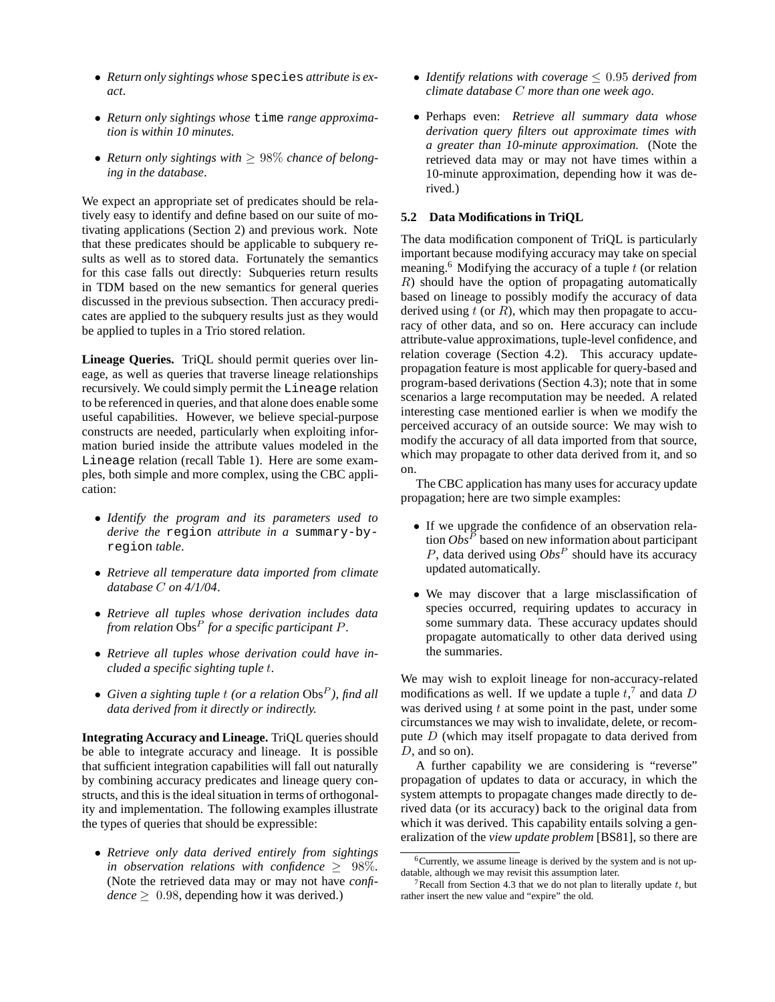- *Return only sightings whose* species *attribute is exact*.
- *Return only sightings whose* time *range approximation is within 10 minutes.*
- *Return only sightings with* ≥ 98% *chance of belonging in the database*.

We expect an appropriate set of predicates should be relatively easy to identify and define based on our suite of motivating applications (Section 2) and previous work. Note that these predicates should be applicable to subquery results as well as to stored data. Fortunately the semantics for this case falls out directly: Subqueries return results in TDM based on the new semantics for general queries discussed in the previous subsection. Then accuracy predicates are applied to the subquery results just as they would be applied to tuples in a Trio stored relation.

**Lineage Queries.** TriQL should permit queries over lineage, as well as queries that traverse lineage relationships recursively. We could simply permit the Lineage relation to be referenced in queries, and that alone does enable some useful capabilities. However, we believe special-purpose constructs are needed, particularly when exploiting information buried inside the attribute values modeled in the Lineage relation (recall Table 1). Here are some examples, both simple and more complex, using the CBC application:

- *Identify the program and its parameters used to derive the* region *attribute in a* summary-byregion *table*.
- *Retrieve all temperature data imported from climate database* C *on 4/1/04*.
- *Retrieve all tuples whose derivation includes data from relation* Obs<sup>P</sup> *for a specific participant* P.
- *Retrieve all tuples whose derivation could have included a specific sighting tuple* t.
- *Given a sighting tuple* t *(or a relation* Obs<sup>P</sup> *), find all data derived from it directly or indirectly.*

**Integrating Accuracy and Lineage.** TriQL queries should be able to integrate accuracy and lineage. It is possible that sufficient integration capabilities will fall out naturally by combining accuracy predicates and lineage query constructs, and this is the ideal situation in terms of orthogonality and implementation. The following examples illustrate the types of queries that should be expressible:

• *Retrieve only data derived entirely from sightings in observation relations with confidence*  $\geq$  98%. (Note the retrieved data may or may not have *confi* $dence \geq 0.98$ , depending how it was derived.)

- *Identify relations with coverage* ≤ 0.95 *derived from climate database* C *more than one week ago*.
- Perhaps even: *Retrieve all summary data whose derivation query filters out approximate times with a greater than 10-minute approximation.* (Note the retrieved data may or may not have times within a 10-minute approximation, depending how it was derived.)

#### **5.2 Data Modifications in TriQL**

The data modification component of TriQL is particularly important because modifying accuracy may take on special meaning.<sup>6</sup> Modifying the accuracy of a tuple  $t$  (or relation R) should have the option of propagating automatically based on lineage to possibly modify the accuracy of data derived using  $t$  (or  $R$ ), which may then propagate to accuracy of other data, and so on. Here accuracy can include attribute-value approximations, tuple-level confidence, and relation coverage (Section 4.2). This accuracy updatepropagation feature is most applicable for query-based and program-based derivations (Section 4.3); note that in some scenarios a large recomputation may be needed. A related interesting case mentioned earlier is when we modify the perceived accuracy of an outside source: We may wish to modify the accuracy of all data imported from that source, which may propagate to other data derived from it, and so on.

The CBC application has many uses for accuracy update propagation; here are two simple examples:

- If we upgrade the confidence of an observation relation  $Obs^P$  based on new information about participant  $P$ , data derived using  $Obs^P$  should have its accuracy updated automatically.
- We may discover that a large misclassification of species occurred, requiring updates to accuracy in some summary data. These accuracy updates should propagate automatically to other data derived using the summaries.

We may wish to exploit lineage for non-accuracy-related modifications as well. If we update a tuple  $t<sub>1</sub><sup>7</sup>$  and data D was derived using  $t$  at some point in the past, under some circumstances we may wish to invalidate, delete, or recompute  $D$  (which may itself propagate to data derived from D, and so on).

A further capability we are considering is "reverse" propagation of updates to data or accuracy, in which the system attempts to propagate changes made directly to derived data (or its accuracy) back to the original data from which it was derived. This capability entails solving a generalization of the *view update problem* [BS81], so there are

 $6$ Currently, we assume lineage is derived by the system and is not updatable, although we may revisit this assumption later.

<sup>&</sup>lt;sup>7</sup>Recall from Section 4.3 that we do not plan to literally update  $t$ , but rather insert the new value and "expire" the old.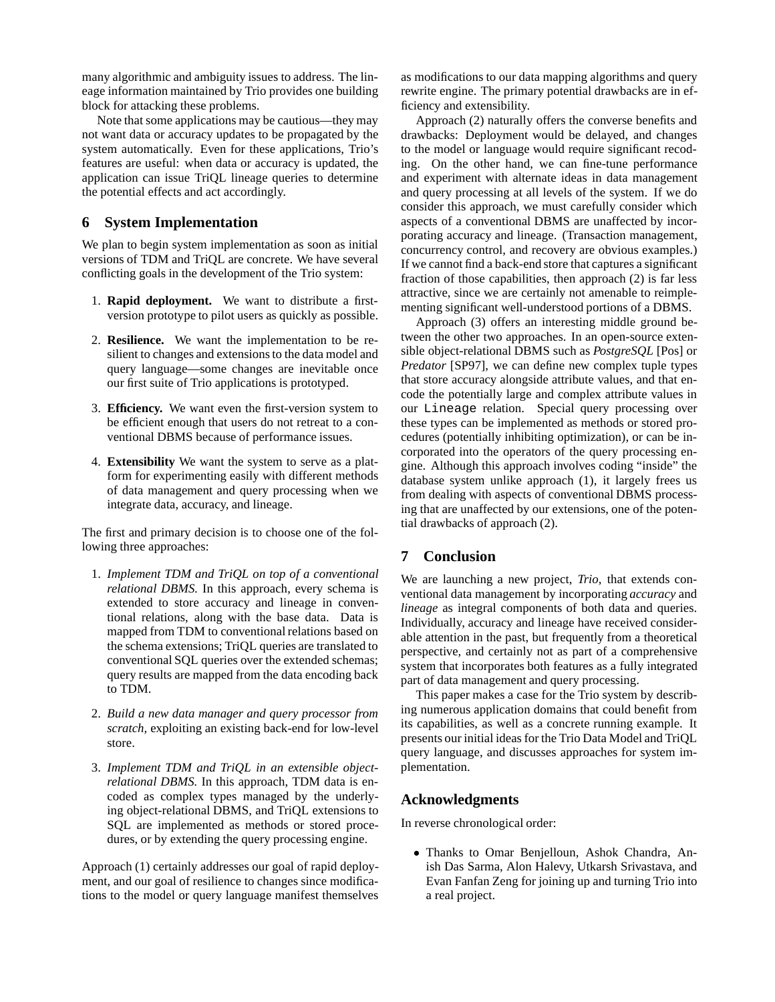many algorithmic and ambiguity issues to address. The lineage information maintained by Trio provides one building block for attacking these problems.

Note that some applications may be cautious—they may not want data or accuracy updates to be propagated by the system automatically. Even for these applications, Trio's features are useful: when data or accuracy is updated, the application can issue TriQL lineage queries to determine the potential effects and act accordingly.

# **6 System Implementation**

We plan to begin system implementation as soon as initial versions of TDM and TriQL are concrete. We have several conflicting goals in the development of the Trio system:

- 1. **Rapid deployment.** We want to distribute a firstversion prototype to pilot users as quickly as possible.
- 2. **Resilience.** We want the implementation to be resilient to changes and extensions to the data model and query language—some changes are inevitable once our first suite of Trio applications is prototyped.
- 3. **Efficiency.** We want even the first-version system to be efficient enough that users do not retreat to a conventional DBMS because of performance issues.
- 4. **Extensibility** We want the system to serve as a platform for experimenting easily with different methods of data management and query processing when we integrate data, accuracy, and lineage.

The first and primary decision is to choose one of the following three approaches:

- 1. *Implement TDM and TriQL on top of a conventional relational DBMS.* In this approach, every schema is extended to store accuracy and lineage in conventional relations, along with the base data. Data is mapped from TDM to conventional relations based on the schema extensions; TriQL queries are translated to conventional SQL queries over the extended schemas; query results are mapped from the data encoding back to TDM.
- 2. *Build a new data manager and query processor from scratch,* exploiting an existing back-end for low-level store.
- 3. *Implement TDM and TriQL in an extensible objectrelational DBMS.* In this approach, TDM data is encoded as complex types managed by the underlying object-relational DBMS, and TriQL extensions to SQL are implemented as methods or stored procedures, or by extending the query processing engine.

Approach (1) certainly addresses our goal of rapid deployment, and our goal of resilience to changes since modifications to the model or query language manifest themselves

as modifications to our data mapping algorithms and query rewrite engine. The primary potential drawbacks are in efficiency and extensibility.

Approach (2) naturally offers the converse benefits and drawbacks: Deployment would be delayed, and changes to the model or language would require significant recoding. On the other hand, we can fine-tune performance and experiment with alternate ideas in data management and query processing at all levels of the system. If we do consider this approach, we must carefully consider which aspects of a conventional DBMS are unaffected by incorporating accuracy and lineage. (Transaction management, concurrency control, and recovery are obvious examples.) If we cannot find a back-end store that captures a significant fraction of those capabilities, then approach (2) is far less attractive, since we are certainly not amenable to reimplementing significant well-understood portions of a DBMS.

Approach (3) offers an interesting middle ground between the other two approaches. In an open-source extensible object-relational DBMS such as *PostgreSQL* [Pos] or *Predator* [SP97], we can define new complex tuple types that store accuracy alongside attribute values, and that encode the potentially large and complex attribute values in our Lineage relation. Special query processing over these types can be implemented as methods or stored procedures (potentially inhibiting optimization), or can be incorporated into the operators of the query processing engine. Although this approach involves coding "inside" the database system unlike approach (1), it largely frees us from dealing with aspects of conventional DBMS processing that are unaffected by our extensions, one of the potential drawbacks of approach (2).

# **7 Conclusion**

We are launching a new project, *Trio*, that extends conventional data management by incorporating *accuracy* and *lineage* as integral components of both data and queries. Individually, accuracy and lineage have received considerable attention in the past, but frequently from a theoretical perspective, and certainly not as part of a comprehensive system that incorporates both features as a fully integrated part of data management and query processing.

This paper makes a case for the Trio system by describing numerous application domains that could benefit from its capabilities, as well as a concrete running example. It presents our initial ideas for the Trio Data Model and TriQL query language, and discusses approaches for system implementation.

# **Acknowledgments**

In reverse chronological order:

• Thanks to Omar Benjelloun, Ashok Chandra, Anish Das Sarma, Alon Halevy, Utkarsh Srivastava, and Evan Fanfan Zeng for joining up and turning Trio into a real project.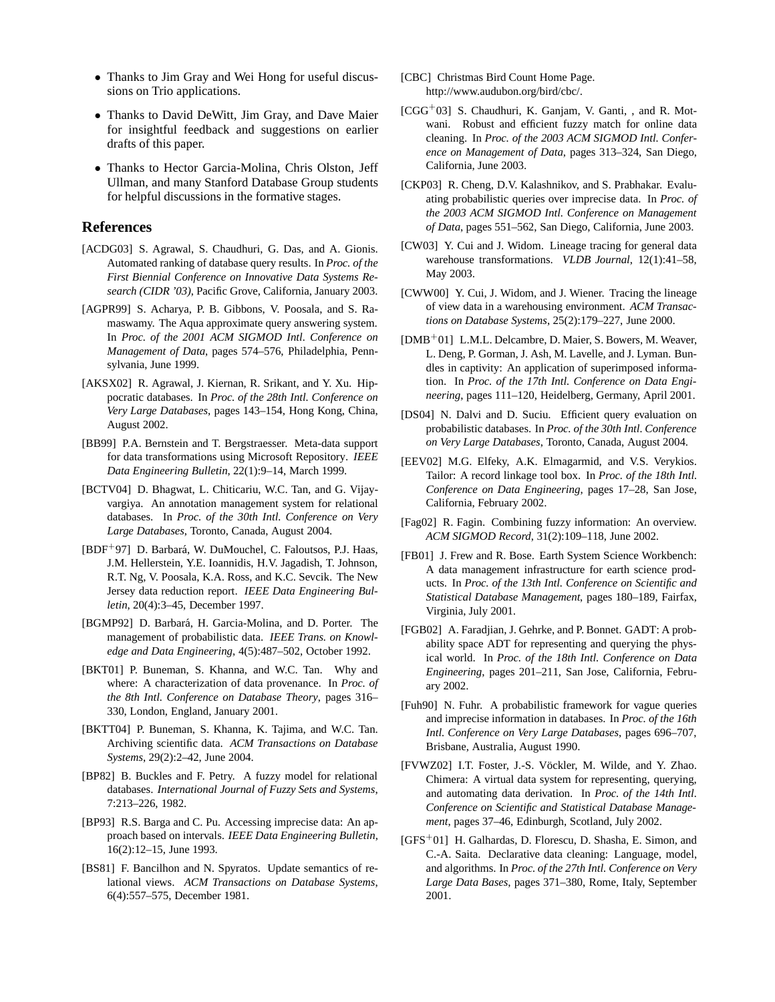- Thanks to Jim Gray and Wei Hong for useful discussions on Trio applications.
- Thanks to David DeWitt, Jim Gray, and Dave Maier for insightful feedback and suggestions on earlier drafts of this paper.
- Thanks to Hector Garcia-Molina, Chris Olston, Jeff Ullman, and many Stanford Database Group students for helpful discussions in the formative stages.

# **References**

- [ACDG03] S. Agrawal, S. Chaudhuri, G. Das, and A. Gionis. Automated ranking of database query results. In *Proc. of the First Biennial Conference on Innovative Data Systems Research (CIDR '03)*, Pacific Grove, California, January 2003.
- [AGPR99] S. Acharya, P. B. Gibbons, V. Poosala, and S. Ramaswamy. The Aqua approximate query answering system. In *Proc. of the 2001 ACM SIGMOD Intl. Conference on Management of Data*, pages 574–576, Philadelphia, Pennsylvania, June 1999.
- [AKSX02] R. Agrawal, J. Kiernan, R. Srikant, and Y. Xu. Hippocratic databases. In *Proc. of the 28th Intl. Conference on Very Large Databases*, pages 143–154, Hong Kong, China, August 2002.
- [BB99] P.A. Bernstein and T. Bergstraesser. Meta-data support for data transformations using Microsoft Repository. *IEEE Data Engineering Bulletin*, 22(1):9–14, March 1999.
- [BCTV04] D. Bhagwat, L. Chiticariu, W.C. Tan, and G. Vijayvargiya. An annotation management system for relational databases. In *Proc. of the 30th Intl. Conference on Very Large Databases*, Toronto, Canada, August 2004.
- [BDF<sup>+</sup>97] D. Barbará, W. DuMouchel, C. Faloutsos, P.J. Haas, J.M. Hellerstein, Y.E. Ioannidis, H.V. Jagadish, T. Johnson, R.T. Ng, V. Poosala, K.A. Ross, and K.C. Sevcik. The New Jersey data reduction report. *IEEE Data Engineering Bulletin*, 20(4):3–45, December 1997.
- [BGMP92] D. Barbará, H. Garcia-Molina, and D. Porter. The management of probabilistic data. *IEEE Trans. on Knowledge and Data Engineering*, 4(5):487–502, October 1992.
- [BKT01] P. Buneman, S. Khanna, and W.C. Tan. Why and where: A characterization of data provenance. In *Proc. of the 8th Intl. Conference on Database Theory*, pages 316– 330, London, England, January 2001.
- [BKTT04] P. Buneman, S. Khanna, K. Tajima, and W.C. Tan. Archiving scientific data. *ACM Transactions on Database Systems*, 29(2):2–42, June 2004.
- [BP82] B. Buckles and F. Petry. A fuzzy model for relational databases. *International Journal of Fuzzy Sets and Systems*, 7:213–226, 1982.
- [BP93] R.S. Barga and C. Pu. Accessing imprecise data: An approach based on intervals. *IEEE Data Engineering Bulletin*, 16(2):12–15, June 1993.
- [BS81] F. Bancilhon and N. Spyratos. Update semantics of relational views. *ACM Transactions on Database Systems*, 6(4):557–575, December 1981.
- [CBC] Christmas Bird Count Home Page. http://www.audubon.org/bird/cbc/.
- $[CGG<sup>+</sup>03]$  S. Chaudhuri, K. Ganjam, V. Ganti, , and R. Motwani. Robust and efficient fuzzy match for online data cleaning. In *Proc. of the 2003 ACM SIGMOD Intl. Conference on Management of Data*, pages 313–324, San Diego, California, June 2003.
- [CKP03] R. Cheng, D.V. Kalashnikov, and S. Prabhakar. Evaluating probabilistic queries over imprecise data. In *Proc. of the 2003 ACM SIGMOD Intl. Conference on Management of Data*, pages 551–562, San Diego, California, June 2003.
- [CW03] Y. Cui and J. Widom. Lineage tracing for general data warehouse transformations. *VLDB Journal*, 12(1):41–58, May 2003.
- [CWW00] Y. Cui, J. Widom, and J. Wiener. Tracing the lineage of view data in a warehousing environment. *ACM Transactions on Database Systems*, 25(2):179–227, June 2000.
- [DMB<sup>+</sup>01] L.M.L. Delcambre, D. Maier, S. Bowers, M. Weaver, L. Deng, P. Gorman, J. Ash, M. Lavelle, and J. Lyman. Bundles in captivity: An application of superimposed information. In *Proc. of the 17th Intl. Conference on Data Engineering*, pages 111–120, Heidelberg, Germany, April 2001.
- [DS04] N. Dalvi and D. Suciu. Efficient query evaluation on probabilistic databases. In *Proc. of the 30th Intl. Conference on Very Large Databases*, Toronto, Canada, August 2004.
- [EEV02] M.G. Elfeky, A.K. Elmagarmid, and V.S. Verykios. Tailor: A record linkage tool box. In *Proc. of the 18th Intl. Conference on Data Engineering*, pages 17–28, San Jose, California, February 2002.
- [Fag02] R. Fagin. Combining fuzzy information: An overview. *ACM SIGMOD Record*, 31(2):109–118, June 2002.
- [FB01] J. Frew and R. Bose. Earth System Science Workbench: A data management infrastructure for earth science products. In *Proc. of the 13th Intl. Conference on Scientific and Statistical Database Management*, pages 180–189, Fairfax, Virginia, July 2001.
- [FGB02] A. Faradjian, J. Gehrke, and P. Bonnet. GADT: A probability space ADT for representing and querying the physical world. In *Proc. of the 18th Intl. Conference on Data Engineering*, pages 201–211, San Jose, California, February 2002.
- [Fuh90] N. Fuhr. A probabilistic framework for vague queries and imprecise information in databases. In *Proc. of the 16th Intl. Conference on Very Large Databases*, pages 696–707, Brisbane, Australia, August 1990.
- [FVWZ02] I.T. Foster, J.-S. Vöckler, M. Wilde, and Y. Zhao. Chimera: A virtual data system for representing, querying, and automating data derivation. In *Proc. of the 14th Intl. Conference on Scientific and Statistical Database Management*, pages 37–46, Edinburgh, Scotland, July 2002.
- [GFS<sup>+</sup>01] H. Galhardas, D. Florescu, D. Shasha, E. Simon, and C.-A. Saita. Declarative data cleaning: Language, model, and algorithms. In *Proc. of the 27th Intl. Conference on Very Large Data Bases*, pages 371–380, Rome, Italy, September 2001.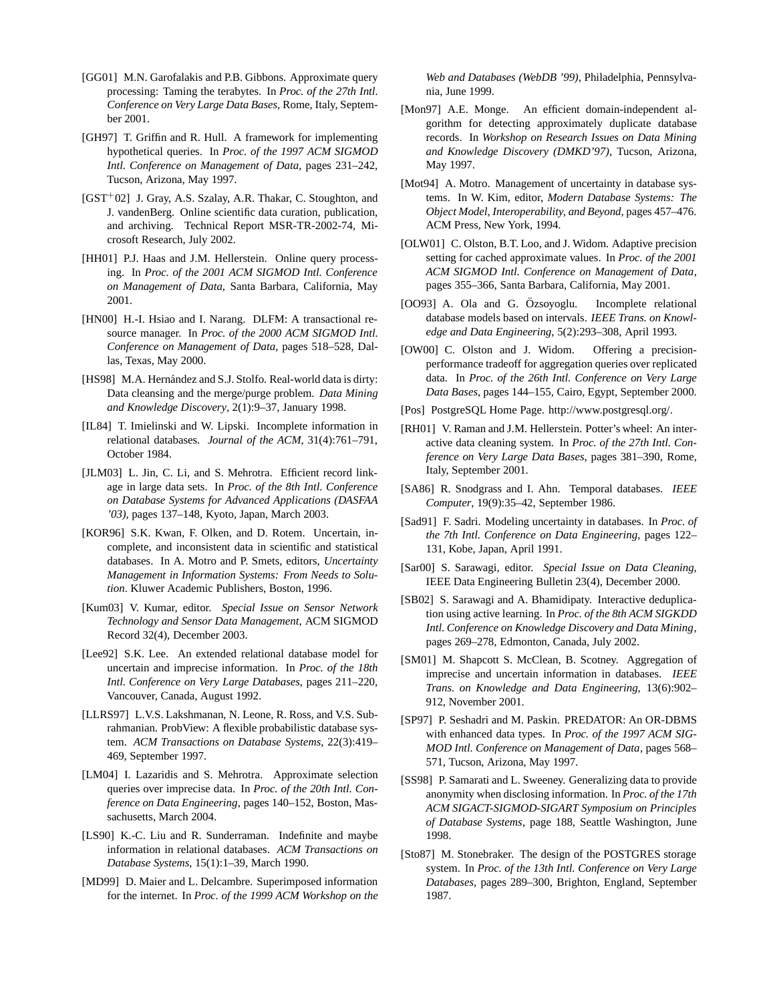- [GG01] M.N. Garofalakis and P.B. Gibbons. Approximate query processing: Taming the terabytes. In *Proc. of the 27th Intl. Conference on Very Large Data Bases*, Rome, Italy, September 2001.
- [GH97] T. Griffin and R. Hull. A framework for implementing hypothetical queries. In *Proc. of the 1997 ACM SIGMOD Intl. Conference on Management of Data*, pages 231–242, Tucson, Arizona, May 1997.
- [GST<sup>+</sup>02] J. Gray, A.S. Szalay, A.R. Thakar, C. Stoughton, and J. vandenBerg. Online scientific data curation, publication, and archiving. Technical Report MSR-TR-2002-74, Microsoft Research, July 2002.
- [HH01] P.J. Haas and J.M. Hellerstein. Online query processing. In *Proc. of the 2001 ACM SIGMOD Intl. Conference on Management of Data*, Santa Barbara, California, May 2001.
- [HN00] H.-I. Hsiao and I. Narang. DLFM: A transactional resource manager. In *Proc. of the 2000 ACM SIGMOD Intl. Conference on Management of Data*, pages 518–528, Dallas, Texas, May 2000.
- [HS98] M.A. Hernández and S.J. Stolfo. Real-world data is dirty: Data cleansing and the merge/purge problem. *Data Mining and Knowledge Discovery*, 2(1):9–37, January 1998.
- [IL84] T. Imielinski and W. Lipski. Incomplete information in relational databases. *Journal of the ACM*, 31(4):761–791, October 1984.
- [JLM03] L. Jin, C. Li, and S. Mehrotra. Efficient record linkage in large data sets. In *Proc. of the 8th Intl. Conference on Database Systems for Advanced Applications (DASFAA '03)*, pages 137–148, Kyoto, Japan, March 2003.
- [KOR96] S.K. Kwan, F. Olken, and D. Rotem. Uncertain, incomplete, and inconsistent data in scientific and statistical databases. In A. Motro and P. Smets, editors, *Uncertainty Management in Information Systems: From Needs to Solution*. Kluwer Academic Publishers, Boston, 1996.
- [Kum03] V. Kumar, editor. *Special Issue on Sensor Network Technology and Sensor Data Management,* ACM SIGMOD Record 32(4), December 2003.
- [Lee92] S.K. Lee. An extended relational database model for uncertain and imprecise information. In *Proc. of the 18th Intl. Conference on Very Large Databases*, pages 211–220, Vancouver, Canada, August 1992.
- [LLRS97] L.V.S. Lakshmanan, N. Leone, R. Ross, and V.S. Subrahmanian. ProbView: A flexible probabilistic database system. *ACM Transactions on Database Systems*, 22(3):419– 469, September 1997.
- [LM04] I. Lazaridis and S. Mehrotra. Approximate selection queries over imprecise data. In *Proc. of the 20th Intl. Conference on Data Engineering*, pages 140–152, Boston, Massachusetts, March 2004.
- [LS90] K.-C. Liu and R. Sunderraman. Indefinite and maybe information in relational databases. *ACM Transactions on Database Systems*, 15(1):1–39, March 1990.
- [MD99] D. Maier and L. Delcambre. Superimposed information for the internet. In *Proc. of the 1999 ACM Workshop on the*

*Web and Databases (WebDB '99)*, Philadelphia, Pennsylvania, June 1999.

- [Mon97] A.E. Monge. An efficient domain-independent algorithm for detecting approximately duplicate database records. In *Workshop on Research Issues on Data Mining and Knowledge Discovery (DMKD'97)*, Tucson, Arizona, May 1997.
- [Mot94] A. Motro. Management of uncertainty in database systems. In W. Kim, editor, *Modern Database Systems: The Object Model, Interoperability, and Beyond*, pages 457–476. ACM Press, New York, 1994.
- [OLW01] C. Olston, B.T. Loo, and J. Widom. Adaptive precision setting for cached approximate values. In *Proc. of the 2001 ACM SIGMOD Intl. Conference on Management of Data*, pages 355–366, Santa Barbara, California, May 2001.
- [OO93] A. Ola and G. Özsoyoglu. Incomplete relational database models based on intervals. *IEEE Trans. on Knowledge and Data Engineering*, 5(2):293–308, April 1993.
- [OW00] C. Olston and J. Widom. Offering a precisionperformance tradeoff for aggregation queries over replicated data. In *Proc. of the 26th Intl. Conference on Very Large Data Bases*, pages 144–155, Cairo, Egypt, September 2000.
- [Pos] PostgreSQL Home Page. http://www.postgresql.org/.
- [RH01] V. Raman and J.M. Hellerstein. Potter's wheel: An interactive data cleaning system. In *Proc. of the 27th Intl. Conference on Very Large Data Bases*, pages 381–390, Rome, Italy, September 2001.
- [SA86] R. Snodgrass and I. Ahn. Temporal databases. *IEEE Computer*, 19(9):35–42, September 1986.
- [Sad91] F. Sadri. Modeling uncertainty in databases. In *Proc. of the 7th Intl. Conference on Data Engineering*, pages 122– 131, Kobe, Japan, April 1991.
- [Sar00] S. Sarawagi, editor. *Special Issue on Data Cleaning,* IEEE Data Engineering Bulletin 23(4), December 2000.
- [SB02] S. Sarawagi and A. Bhamidipaty. Interactive deduplication using active learning. In *Proc. of the 8th ACM SIGKDD Intl. Conference on Knowledge Discovery and Data Mining*, pages 269–278, Edmonton, Canada, July 2002.
- [SM01] M. Shapcott S. McClean, B. Scotney. Aggregation of imprecise and uncertain information in databases. *IEEE Trans. on Knowledge and Data Engineering*, 13(6):902– 912, November 2001.
- [SP97] P. Seshadri and M. Paskin. PREDATOR: An OR-DBMS with enhanced data types. In *Proc. of the 1997 ACM SIG-MOD Intl. Conference on Management of Data*, pages 568– 571, Tucson, Arizona, May 1997.
- [SS98] P. Samarati and L. Sweeney. Generalizing data to provide anonymity when disclosing information. In *Proc. of the 17th ACM SIGACT-SIGMOD-SIGART Symposium on Principles of Database Systems*, page 188, Seattle Washington, June 1998.
- [Sto87] M. Stonebraker. The design of the POSTGRES storage system. In *Proc. of the 13th Intl. Conference on Very Large Databases*, pages 289–300, Brighton, England, September 1987.